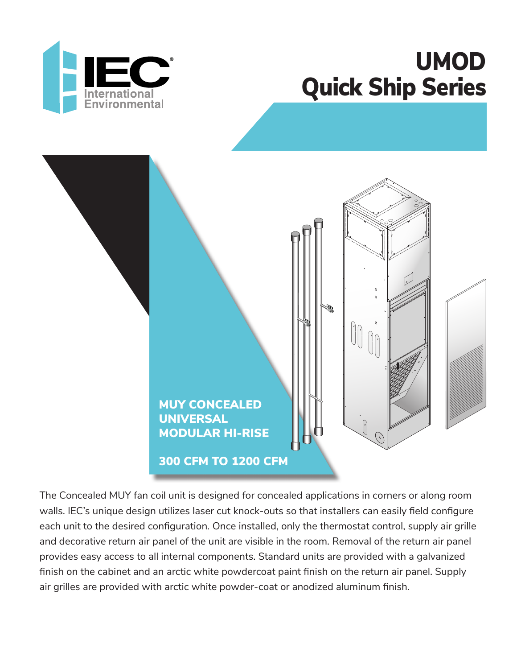





The Concealed MUY fan coil unit is designed for concealed applications in corners or along room walls. IEC's unique design utilizes laser cut knock-outs so that installers can easily field configure each unit to the desired configuration. Once installed, only the thermostat control, supply air grille and decorative return air panel of the unit are visible in the room. Removal of the return air panel provides easy access to all internal components. Standard units are provided with a galvanized finish on the cabinet and an arctic white powdercoat paint finish on the return air panel. Supply air grilles are provided with arctic white powder-coat or anodized aluminum finish.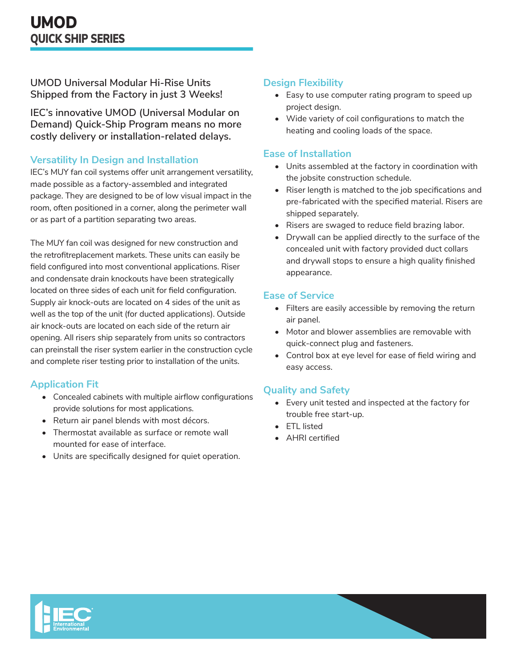**UMOD Universal Modular Hi-Rise Units Shipped from the Factory in just 3 Weeks!**

**IEC's innovative UMOD (Universal Modular on Demand) Quick-Ship Program means no more costly delivery or installation-related delays.**

#### **Versatility In Design and Installation**

IEC's MUY fan coil systems offer unit arrangement versatility, made possible as a factory-assembled and integrated package. They are designed to be of low visual impact in the room, often positioned in a corner, along the perimeter wall or as part of a partition separating two areas.

The MUY fan coil was designed for new construction and the retrofitreplacement markets. These units can easily be field configured into most conventional applications. Riser and condensate drain knockouts have been strategically located on three sides of each unit for field configuration. Supply air knock-outs are located on 4 sides of the unit as well as the top of the unit (for ducted applications). Outside air knock-outs are located on each side of the return air opening. All risers ship separately from units so contractors can preinstall the riser system earlier in the construction cycle and complete riser testing prior to installation of the units.

## **Application Fit**

- Concealed cabinets with multiple airflow configurations provide solutions for most applications.
- Return air panel blends with most décors.
- Thermostat available as surface or remote wall mounted for ease of interface.
- Units are specifically designed for quiet operation.

#### **Design Flexibility**

- Easy to use computer rating program to speed up project design.
- Wide variety of coil configurations to match the heating and cooling loads of the space.

#### **Ease of Installation**

- Units assembled at the factory in coordination with the jobsite construction schedule.
- Riser length is matched to the job specifications and pre-fabricated with the specified material. Risers are shipped separately.
- Risers are swaged to reduce field brazing labor.
- Drywall can be applied directly to the surface of the concealed unit with factory provided duct collars and drywall stops to ensure a high quality finished appearance.

#### **Ease of Service**

- Filters are easily accessible by removing the return air panel.
- Motor and blower assemblies are removable with quick-connect plug and fasteners.
- Control box at eye level for ease of field wiring and easy access.

#### **Quality and Safety**

- Every unit tested and inspected at the factory for trouble free start-up.
- ETL listed
- AHRI certified

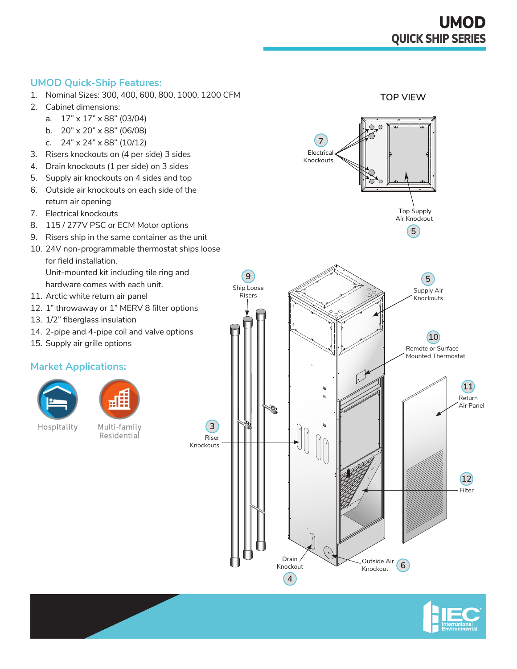**TOP VIEW**

#### **UMOD Quick-Ship Features:**

- 1. Nominal Sizes: 300, 400, 600, 800, 1000, 1200 CFM
- 2. Cabinet dimensions:
	- a. 17" x 17" x 88" (03/04)
	- b. 20" x 20" x 88" (06/08)
	- c. 24" x 24" x 88" (10/12)
- 3. Risers knockouts on (4 per side) 3 sides
- 4. Drain knockouts (1 per side) on 3 sides
- 5. Supply air knockouts on 4 sides and top
- 6. Outside air knockouts on each side of the return air opening
- 7. Electrical knockouts
- 8. 115 / 277V PSC or ECM Motor options
- 9. Risers ship in the same container as the unit
- 10. 24V non-programmable thermostat ships loose for field installation. Unit-mounted kit including tile ring and hardware comes with each unit.
- 11. Arctic white return air panel
- 12. 1" throwaway or 1" MERV 8 filter options
- 13. 1/2" fiberglass insulation
- 14. 2-pipe and 4-pipe coil and valve options
- 15. Supply air grille options

## **Market Applications:**





Hospitality

Multi-family Residential